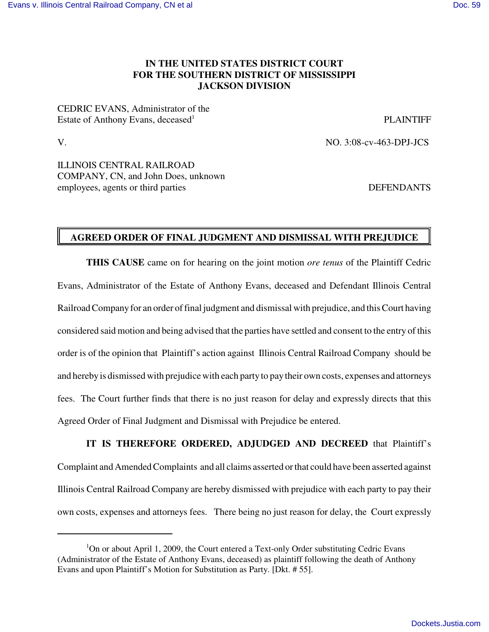## **IN THE UNITED STATES DISTRICT COURT FOR THE SOUTHERN DISTRICT OF MISSISSIPPI JACKSON DIVISION**

CEDRIC EVANS, Administrator of the Estate of Anthony Evans, deceased

**PLAINTIFF** 

V. NO. 3:08-cv-463-DPJ-JCS

ILLINOIS CENTRAL RAILROAD COMPANY, CN, and John Does, unknown employees, agents or third parties DEFENDANTS

## **AGREED ORDER OF FINAL JUDGMENT AND DISMISSAL WITH PREJUDICE**

**THIS CAUSE** came on for hearing on the joint motion *ore tenus* of the Plaintiff Cedric Evans, Administrator of the Estate of Anthony Evans, deceased and Defendant Illinois Central RailroadCompanyfor an order offinal judgment and dismissal with prejudice, and thisCourt having considered said motion and being advised that the parties have settled and consent to the entry of this order is of the opinion that Plaintiff's action against Illinois Central Railroad Company should be and hereby is dismissed with prejudice with each party to pay their own costs, expenses and attorneys fees. The Court further finds that there is no just reason for delay and expressly directs that this Agreed Order of Final Judgment and Dismissal with Prejudice be entered.

**IT IS THEREFORE ORDERED, ADJUDGED AND DECREED** that Plaintiff's Complaint and AmendedComplaints and all claims asserted orthat could have been asserted against Illinois Central Railroad Company are hereby dismissed with prejudice with each party to pay their own costs, expenses and attorneys fees. There being no just reason for delay, the Court expressly

 $1$ On or about April 1, 2009, the Court entered a Text-only Order substituting Cedric Evans (Administrator of the Estate of Anthony Evans, deceased) as plaintiff following the death of Anthony Evans and upon Plaintiff's Motion for Substitution as Party. [Dkt. # 55].